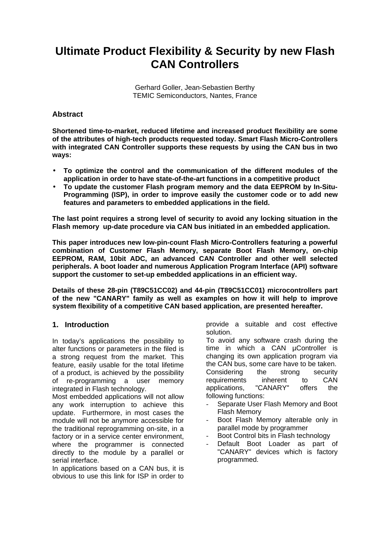# **Ultimate Product Flexibility & Security by new Flash CAN Controllers**

Gerhard Goller, Jean-Sebastien Berthy TEMIC Semiconductors, Nantes, France

# **Abstract**

**Shortened time-to-market, reduced lifetime and increased product flexibility are some of the attributes of high-tech products requested today. Smart Flash Micro-Controllers with integrated CAN Controller supports these requests by using the CAN bus in two ways:**

- **To optimize the control and the communication of the different modules of the application in order to have state-of-the-art functions in a competitive product**
- **To update the customer Flash program memory and the data EEPROM by In-Situ-Programming (ISP), in order to improve easily the customer code or to add new features and parameters to embedded applications in the field.**

**The last point requires a strong level of security to avoid any locking situation in the Flash memory up-date procedure via CAN bus initiated in an embedded application.**

**This paper introduces new low-pin-count Flash Micro-Controllers featuring a powerful combination of Customer Flash Memory, separate Boot Flash Memory, on-chip EEPROM, RAM, 10bit ADC, an advanced CAN Controller and other well selected peripherals. A boot loader and numerous Application Program Interface (API) software support the customer to set-up embedded applications in an efficient way.**

**Details of these 28-pin (T89C51CC02) and 44-pin (T89C51CC01) microcontrollers part of the new "CANARY" family as well as examples on how it will help to improve system flexibility of a competitive CAN based application, are presented hereafter.**

## **1. Introduction**

In today's applications the possibility to alter functions or parameters in the filed is a strong request from the market. This feature, easily usable for the total lifetime of a product, is achieved by the possibility of re-programming a user memory integrated in Flash technology.

Most embedded applications will not allow any work interruption to achieve this update. Furthermore, in most cases the module will not be anymore accessible for the traditional reprogramming on-site, in a factory or in a service center environment, where the programmer is connected directly to the module by a parallel or serial interface.

In applications based on a CAN bus, it is obvious to use this link for ISP in order to

provide a suitable and cost effective solution.

To avoid any software crash during the time in which a CAN µController is changing its own application program via the CAN bus, some care have to be taken. Considering the strong security requirements inherent to CAN applications, "CANARY" offers the following functions:

- Separate User Flash Memory and Boot Flash Memory
- Boot Flash Memory alterable only in parallel mode by programmer
- Boot Control bits in Flash technology
- Default Boot Loader as part of "CANARY" devices which is factory programmed.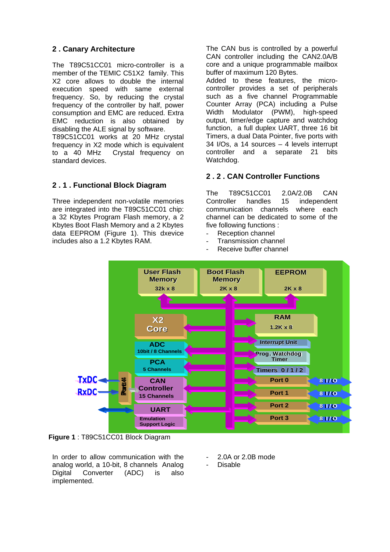# **2 . Canary Architecture**

The T89C51CC01 micro-controller is a member of the TEMIC C51X2 family. This X2 core allows to double the internal execution speed with same external frequency. So, by reducing the crystal frequency of the controller by half, power consumption and EMC are reduced. Extra EMC reduction is also obtained by disabling the ALE signal by software.

T89C51CC01 works at 20 MHz crystal frequency in X2 mode which is equivalent to a 40 MHz Crystal frequency on standard devices.

# **2 . 1 . Functional Block Diagram**

Three independent non-volatile memories are integrated into the T89C51CC01 chip: a 32 Kbytes Program Flash memory, a 2 Kbytes Boot Flash Memory and a 2 Kbytes data EEPROM (Figure 1). This dxevice includes also a 1.2 Kbytes RAM.

The CAN bus is controlled by a powerful CAN controller including the CAN2.0A/B core and a unique programmable mailbox buffer of maximum 120 Bytes.

Added to these features, the microcontroller provides a set of peripherals such as a five channel Programmable Counter Array (PCA) including a Pulse Width Modulator (PWM), high-speed output, timer/edge capture and watchdog function, a full duplex UART, three 16 bit Timers, a dual Data Pointer, five ports with 34 I/Os, a 14 sources – 4 levels interrupt controller and a separate 21 bits Watchdog.

# **2 . 2 . CAN Controller Functions**

The T89C51CC01 2.0A/2.0B CAN Controller handles 15 independent communication channels where each channel can be dedicated to some of the five following functions :

- Reception channel
- Transmission channel
- Receive buffer channel



**Figure 1** : T89C51CC01 Block Diagram

In order to allow communication with the analog world, a 10-bit, 8 channels Analog Digital Converter (ADC) is also implemented.

- 2.0A or 2.0B mode
- **Disable**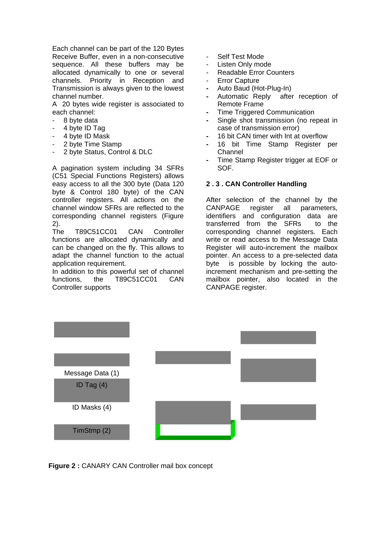Each channel can be part of the 120 Bytes Receive Buffer, even in a non-consecutive sequence. All these buffers may be allocated dynamically to one or several channels. Priority in Reception and Transmission is always given to the lowest channel number.

A 20 bytes wide register is associated to each channel:

- 8 byte data
- 4 byte ID Tag
- 4 byte ID Mask
- 2 byte Time Stamp
- 2 byte Status, Control & DLC

A pagination system including 34 SFRs (C51 Special Functions Registers) allows easy access to all the 300 byte (Data 120 byte & Control 180 byte) of the CAN controller registers. All actions on the channel window SFRs are reflected to the corresponding channel registers (Figure 2).

The T89C51CC01 CAN Controller functions are allocated dynamically and can be changed on the fly. This allows to adapt the channel function to the actual application requirement.

In addition to this powerful set of channel functions, the T89C51CC01 CAN Controller supports

- Self Test Mode
- Listen Only mode
- Readable Error Counters
- Error Capture
- Auto Baud (Hot-Plug-In)
- Automatic Reply after reception of Remote Frame
- **-** Time Triggered Communication
- Single shot transmission (no repeat in case of transmission error)
- 16 bit CAN timer with Int at overflow
- 16 bit Time Stamp Register per Channel
- Time Stamp Register trigger at EOF or SOF.

#### **2 . 3 . CAN Controller Handling**

After selection of the channel by the CANPAGE register all parameters, identifiers and configuration data are transferred from the SFRs to the corresponding channel registers. Each write or read access to the Message Data Register will auto-increment the mailbox pointer. An access to a pre-selected data byte is possible by locking the autoincrement mechanism and pre-setting the mailbox pointer, also located in the CANPAGE register.



**Figure 2 :** CANARY CAN Controller mail box concept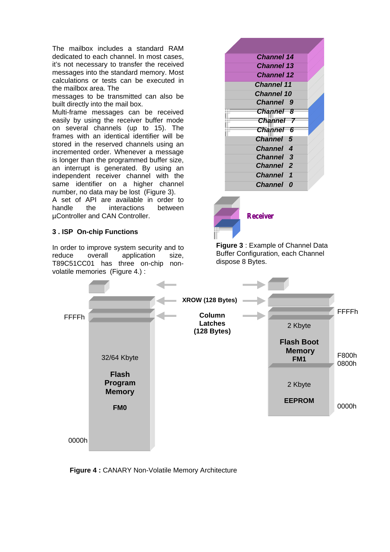The mailbox includes a standard RAM dedicated to each channel. In most cases, it's not necessary to transfer the received messages into the standard memory. Most calculations or tests can be executed in the mailbox area. The

messages to be transmitted can also be built directly into the mail box.

Multi-frame messages can be received easily by using the receiver buffer mode on several channels (up to 15). The frames with an identical identifier will be stored in the reserved channels using an incremented order. Whenever a message is longer than the programmed buffer size, an interrupt is generated. By using an independent receiver channel with the same identifier on a higher channel number, no data may be lost (Figure 3).

A set of API are available in order to handle the interactions between µController and CAN Controller.

## **3 . ISP On-chip Functions**

In order to improve system security and to reduce overall application size, T89C51CC01 has three on-chip nonvolatile memories (Figure 4.) :



**Figure 3** : Example of Channel Data Buffer Configuration, each Channel dispose 8 Bytes.

*Receiver*



**Figure 4 :** CANARY Non-Volatile Memory Architecture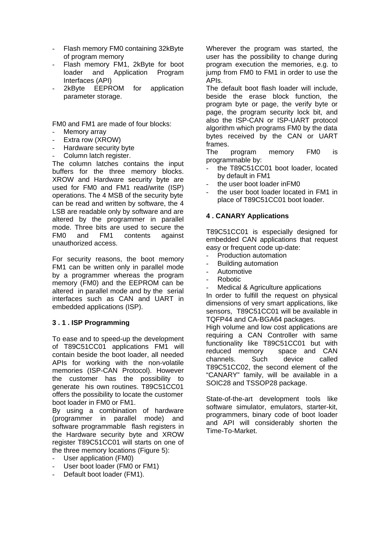- Flash memory FM0 containing 32kByte of program memory
- Flash memory FM1, 2kByte for boot loader and Application Program Interfaces (API)
- 2kByte EEPROM for application parameter storage.

FM0 and FM1 are made of four blocks:

- Memory array
- Extra row (XROW)
- Hardware security byte
- Column latch register.

The column latches contains the input buffers for the three memory blocks. XROW and Hardware security byte are used for FM0 and FM1 read/write (ISP) operations. The 4 MSB of the security byte can be read and written by software, the 4 LSB are readable only by software and are altered by the programmer in parallel mode. Three bits are used to secure the FM0 and FM1 contents against unauthorized access.

For security reasons, the boot memory FM1 can be written only in parallel mode by a programmer whereas the program memory (FM0) and the EEPROM can be altered in parallel mode and by the serial interfaces such as CAN and UART in embedded applications (ISP).

## **3 . 1 . ISP Programming**

To ease and to speed-up the development of T89C51CC01 applications FM1 will contain beside the boot loader, all needed APIs for working with the non-volatile memories (ISP-CAN Protocol). However the customer has the possibility to generate his own routines. T89C51CC01 offers the possibility to locate the customer boot loader in FM0 or FM1.

By using a combination of hardware (programmer in parallel mode) and software programmable flash registers in the Hardware security byte and XROW register T89C51CC01 will starts on one of the three memory locations (Figure 5):

- User application (FM0)
- User boot loader (FM0 or FM1)
- Default boot loader (FM1).

Wherever the program was started, the user has the possibility to change during program execution the memories, e.g. to jump from FM0 to FM1 in order to use the APIs.

The default boot flash loader will include, beside the erase block function, the program byte or page, the verify byte or page, the program security lock bit, and also the ISP-CAN or ISP-UART protocol algorithm which programs FM0 by the data bytes received by the CAN or UART frames.

The program memory FM0 is programmable by:

- the T89C51CC01 boot loader, located by default in FM1
- the user boot loader in FM0
- the user boot loader located in FM1 in place of T89C51CC01 boot loader.

## **4 . CANARY Applications**

T89C51CC01 is especially designed for embedded CAN applications that request easy or frequent code up-date:

- Production automation
- Building automation
- Automotive
- Robotic
- Medical & Agriculture applications

In order to fulfill the request on physical dimensions of very smart applications, like sensors, T89C51CC01 will be available in TQFP44 and CA-BGA64 packages.

High volume and low cost applications are requiring a CAN Controller with same functionality like T89C51CC01 but with reduced memory space and CAN channels. Such device called T89C51CC02, the second element of the "CANARY" family, will be available in a SOIC28 and TSSOP28 package.

State-of-the-art development tools like software simulator, emulators, starter-kit, programmers, binary code of boot loader and API will considerably shorten the Time-To-Market.